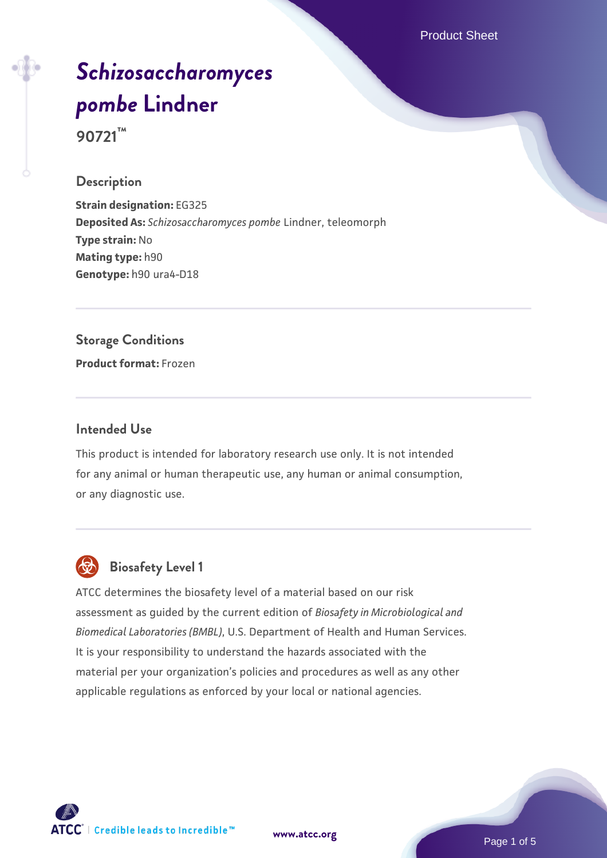Product Sheet

# *[Schizosaccharomyces](https://www.atcc.org/products/90721) [pombe](https://www.atcc.org/products/90721)* **[Lindner](https://www.atcc.org/products/90721) 90721™**

#### **Description**

**Strain designation:** EG325 **Deposited As:** *Schizosaccharomyces pombe* Lindner, teleomorph **Type strain:** No **Mating type:** h90 **Genotype:** h90 ura4-D18

**Storage Conditions Product format:** Frozen

#### **Intended Use**

This product is intended for laboratory research use only. It is not intended for any animal or human therapeutic use, any human or animal consumption, or any diagnostic use.



# **Biosafety Level 1**

ATCC determines the biosafety level of a material based on our risk assessment as guided by the current edition of *Biosafety in Microbiological and Biomedical Laboratories (BMBL)*, U.S. Department of Health and Human Services. It is your responsibility to understand the hazards associated with the material per your organization's policies and procedures as well as any other applicable regulations as enforced by your local or national agencies.



**[www.atcc.org](http://www.atcc.org)**

Page 1 of 5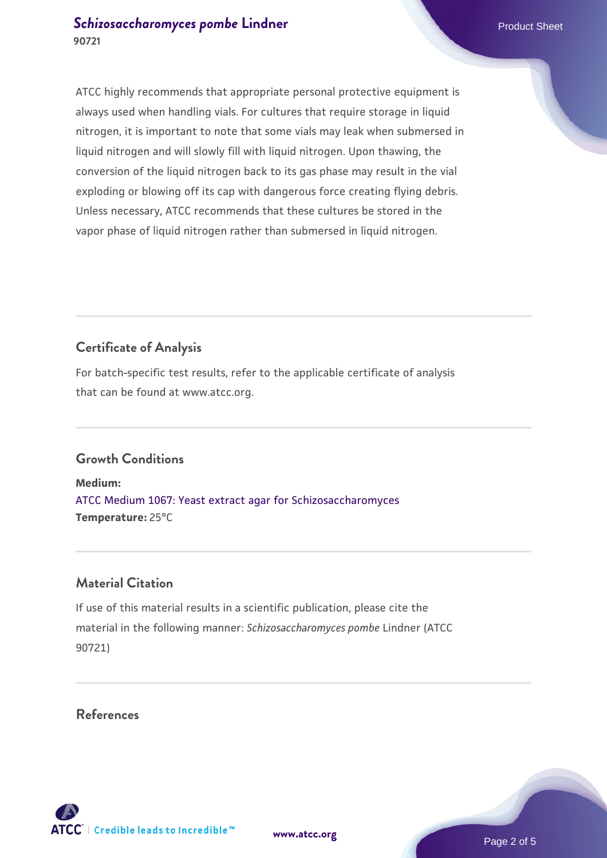### **[Schizosaccharomyces pombe](https://www.atcc.org/products/90721)** [Lindner](https://www.atcc.org/products/90721) **Product Sheet** Product Sheet **90721**

ATCC highly recommends that appropriate personal protective equipment is always used when handling vials. For cultures that require storage in liquid nitrogen, it is important to note that some vials may leak when submersed in liquid nitrogen and will slowly fill with liquid nitrogen. Upon thawing, the conversion of the liquid nitrogen back to its gas phase may result in the vial exploding or blowing off its cap with dangerous force creating flying debris. Unless necessary, ATCC recommends that these cultures be stored in the vapor phase of liquid nitrogen rather than submersed in liquid nitrogen.

# **Certificate of Analysis**

For batch-specific test results, refer to the applicable certificate of analysis that can be found at www.atcc.org.

# **Growth Conditions**

**Medium:**  [ATCC Medium 1067: Yeast extract agar for Schizosaccharomyces](https://www.atcc.org/-/media/product-assets/documents/microbial-media-formulations/atcc-medium-1067.pdf?rev=a2c0da8c6b3c41e385f7db117142f7aa) **Temperature:** 25°C

### **Material Citation**

If use of this material results in a scientific publication, please cite the material in the following manner: *Schizosaccharomyces pombe* Lindner (ATCC 90721)

#### **References**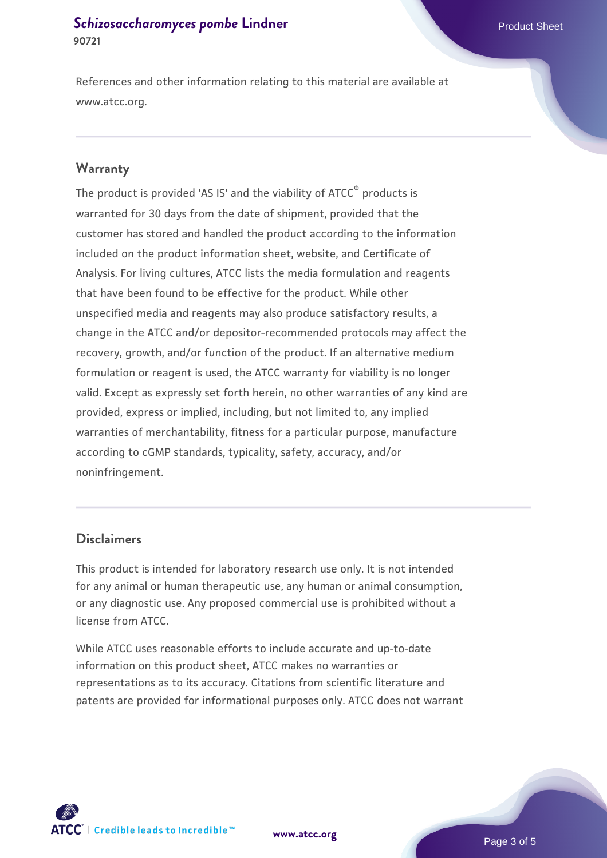### **[Schizosaccharomyces pombe](https://www.atcc.org/products/90721)** [Lindner](https://www.atcc.org/products/90721) **Product Sheet** Product Sheet **90721**

References and other information relating to this material are available at www.atcc.org.

#### **Warranty**

The product is provided 'AS IS' and the viability of ATCC® products is warranted for 30 days from the date of shipment, provided that the customer has stored and handled the product according to the information included on the product information sheet, website, and Certificate of Analysis. For living cultures, ATCC lists the media formulation and reagents that have been found to be effective for the product. While other unspecified media and reagents may also produce satisfactory results, a change in the ATCC and/or depositor-recommended protocols may affect the recovery, growth, and/or function of the product. If an alternative medium formulation or reagent is used, the ATCC warranty for viability is no longer valid. Except as expressly set forth herein, no other warranties of any kind are provided, express or implied, including, but not limited to, any implied warranties of merchantability, fitness for a particular purpose, manufacture according to cGMP standards, typicality, safety, accuracy, and/or noninfringement.

#### **Disclaimers**

This product is intended for laboratory research use only. It is not intended for any animal or human therapeutic use, any human or animal consumption, or any diagnostic use. Any proposed commercial use is prohibited without a license from ATCC.

While ATCC uses reasonable efforts to include accurate and up-to-date information on this product sheet, ATCC makes no warranties or representations as to its accuracy. Citations from scientific literature and patents are provided for informational purposes only. ATCC does not warrant





Page 3 of 5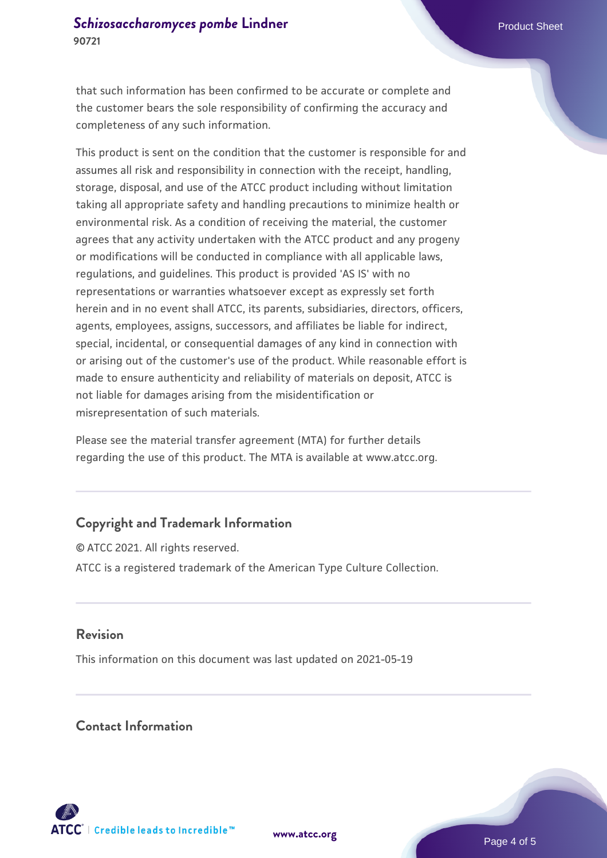that such information has been confirmed to be accurate or complete and the customer bears the sole responsibility of confirming the accuracy and completeness of any such information.

This product is sent on the condition that the customer is responsible for and assumes all risk and responsibility in connection with the receipt, handling, storage, disposal, and use of the ATCC product including without limitation taking all appropriate safety and handling precautions to minimize health or environmental risk. As a condition of receiving the material, the customer agrees that any activity undertaken with the ATCC product and any progeny or modifications will be conducted in compliance with all applicable laws, regulations, and guidelines. This product is provided 'AS IS' with no representations or warranties whatsoever except as expressly set forth herein and in no event shall ATCC, its parents, subsidiaries, directors, officers, agents, employees, assigns, successors, and affiliates be liable for indirect, special, incidental, or consequential damages of any kind in connection with or arising out of the customer's use of the product. While reasonable effort is made to ensure authenticity and reliability of materials on deposit, ATCC is not liable for damages arising from the misidentification or misrepresentation of such materials.

Please see the material transfer agreement (MTA) for further details regarding the use of this product. The MTA is available at www.atcc.org.

# **Copyright and Trademark Information**

© ATCC 2021. All rights reserved. ATCC is a registered trademark of the American Type Culture Collection.

#### **Revision**

This information on this document was last updated on 2021-05-19

#### **Contact Information**